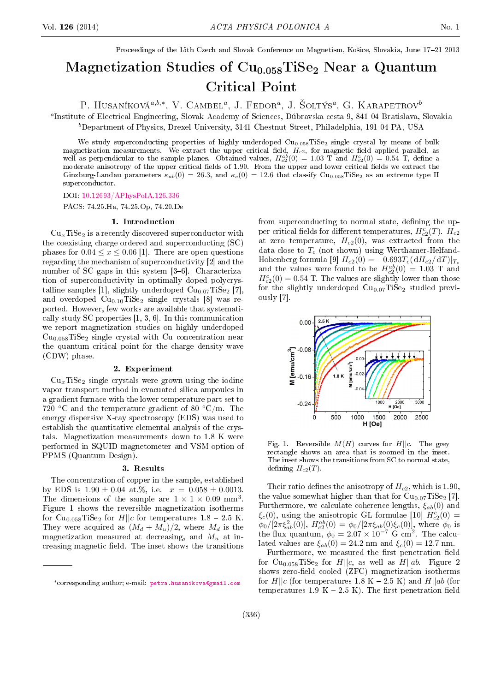Proceedings of the 15th Czech and Slovak Conference on Magnetism, Košice, Slovakia, June 17-21 2013

# Magnetization Studies of  $Cu<sub>0.058</sub>TiSe<sub>2</sub> Near a Quantum$ Critical Point

P. HUSANÍKOVÁ<sup>a,b,∗</sup>, V. CAMBEL<sup>a</sup>, J. FEDOR<sup>a</sup>, J. ŠOLTÝS<sup>a</sup>, G. KARAPETROV<sup>6</sup>

a Institute of Electrical Engineering, Slovak Academy of Sciences, Dúbravska cesta 9, 841 04 Bratislava, Slovakia

 $b$ Department of Physics, Drexel University, 3141 Chestnut Street, Philadelphia, 191-04 PA, USA

We study superconducting properties of highly underdoped  $\text{Cu}_{0.058}\text{TiSe}_2$  single crystal by means of bulk magnetization measurements. We extract the upper critical field,  $H_{c2}$ , for magnetic field applied parallel, as well as perpendicular to the sample planes. Obtained values,  $H_{c2}^{ab}(0) = 1.03$  T and  $H_{c2}^c(0) = 0.54$  T, define a moderate anisotropy of the upper critical fields of 1.90. From the upper and lower critical fields we extract the Ginzburg-Landau parameters  $\kappa_{ab}(0) = 26.3$ , and  $\kappa_c(0) = 12.6$  that classify Cu<sub>0.058</sub>TiSe<sub>2</sub> as an extreme type II superconductor.

DOI: [10.12693/APhysPolA.126.336](http://dx.doi.org/10.12693/APhysPolA.126.336)

PACS: 74.25.Ha, 74.25.Op, 74.20.De

## 1. Introduction

 $Cu<sub>x</sub>TiSe<sub>2</sub>$  is a recently discovered superconductor with the coexisting charge ordered and superconducting (SC) phases for  $0.04 \le x \le 0.06$  [1]. There are open questions regarding the mechanism of superconductivity [2] and the number of SC gaps in this system  $[3-6]$ . Characterization of superconductivity in optimally doped polycrystalline samples [1], slightly underdoped  $Cu<sub>0.07</sub>TiSe<sub>2</sub>$  [7], and overdoped  $Cu<sub>0.10</sub>TiSe<sub>2</sub> single crystals [8] was re$ ported. However, few works are available that systematically study SC properties [1, 3, 6]. In this communication we report magnetization studies on highly underdoped  $Cu<sub>0.058</sub>TiSe<sub>2</sub> single crystal with Cu concentration near$ the quantum critical point for the charge density wave (CDW) phase.

## 2. Experiment

 $Cu<sub>x</sub>TiSe<sub>2</sub>$  single crystals were grown using the iodine vapor transport method in evacuated silica ampoules in a gradient furnace with the lower temperature part set to 720 °C and the temperature gradient of 80 °C/m. The energy dispersive X-ray spectroscopy (EDS) was used to establish the quantitative elemental analysis of the crystals. Magnetization measurements down to 1.8 K were performed in SQUID magnetometer and VSM option of PPMS (Quantum Design).

#### 3. Results

The concentration of copper in the sample, established by EDS is  $1.90 \pm 0.04$  at.%, i.e.  $x = 0.058 \pm 0.0013$ . The dimensions of the sample are  $1 \times 1 \times 0.09$  mm<sup>3</sup>. Figure 1 shows the reversible magnetization isotherms for Cu<sub>0.058</sub>TiSe<sub>2</sub> for  $H||c$  for temperatures 1.8 - 2.5 K. They were acquired as  $(M_d + M_u)/2$ , where  $M_d$  is the magnetization measured at decreasing, and  $M_u$  at increasing magnetic field. The inset shows the transitions from superconducting to normal state, defining the upper critical fields for different temperatures,  $H_{c2}^c(T)$ .  $H_{c2}$ at zero temperature,  $H_{c2}(0)$ , was extracted from the data close to  $T_c$  (not shown) using Werthamer-Helfand-Hohenberg formula [9]  $H_{c2}(0) = -0.693T_c(dH_{c2}/dT)|_{T_c}$ and the values were found to be  $H_{c2}^{ab}(0) = 1.03$  T and  $H_{c2}^{c}(0) = 0.54$  T. The values are slightly lower than those for the slightly underdoped  $Cu<sub>0.07</sub>TiSe<sub>2</sub>$  studied previously [7].



Fig. 1. Reversible  $M(H)$  curves for  $H||c$ . The grey rectangle shows an area that is zoomed in the inset. The inset shows the transitions from SC to normal state, defining  $H_{c2}(T)$ .

Their ratio defines the anisotropy of  $H_{c2}$ , which is 1.90, the value somewhat higher than that for  $Cu<sub>0.07</sub>TiSe<sub>2</sub> [7]$ . Furthermore, we calculate coherence lengths,  $\xi_{ab}(0)$  and  $\xi_c(0)$ , using the anisotropic GL formulae [10]  $H_{c2}^c(0) =$  $\phi_0/[2\pi \xi_{ab}^2(0)]$ ,  $H_{c2}^{ab}(0) = \phi_0/[2\pi \xi_{ab}(0)\xi_c(0)]$ , where  $\phi_0$  is the flux quantum,  $\phi_0 = 2.07 \times 10^{-7}$  G cm<sup>2</sup>. The calculated values are  $\xi_{ab}(0) = 24.2$  nm and  $\xi_c(0) = 12.7$  nm.

Furthermore, we measured the first penetration field for Cu<sub>0.058</sub>TiSe<sub>2</sub> for  $H||c$ , as well as  $H||ab$ . Figure 2 shows zero-field cooled (ZFC) magnetization isotherms for  $H||c$  (for temperatures 1.8 K – 2.5 K) and  $H||ab$  (for temperatures 1.9 K  $-$  2.5 K). The first penetration field

<sup>∗</sup>corresponding author; e-mail: [petra.husanikova@gmail.com](mailto:petra.husanikova@gmail.com)